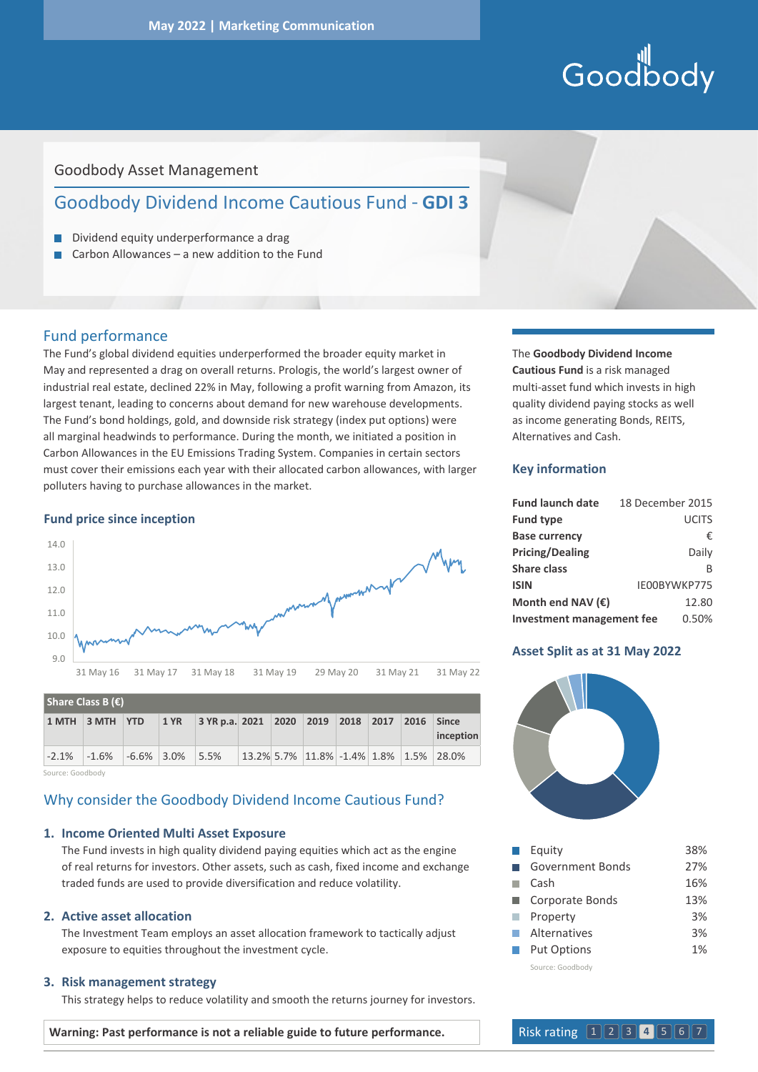# Goodbody

# Goodbody Asset Management

# Goodbody Dividend Income Cautious Fund - **GDI 3**

- Dividend equity underperformance a drag
- Carbon Allowances a new addition to the Fund п

## Fund performance

The Fund's global dividend equities underperformed the broader equity market in May and represented a drag on overall returns. Prologis, the world's largest owner of industrial real estate, declined 22% in May, following a profit warning from Amazon, its largest tenant, leading to concerns about demand for new warehouse developments. The Fund's bond holdings, gold, and downside risk strategy (index put options) were all marginal headwinds to performance. During the month, we initiated a position in Carbon Allowances in the EU Emissions Trading System. Companies in certain sectors must cover their emissions each year with their allocated carbon allowances, with larger polluters having to purchase allowances in the market.

#### **Fund price since inception**



| Share Class B $(\epsilon)$ |                                   |  |      |                                            |  |  |  |  |  |      |                                           |
|----------------------------|-----------------------------------|--|------|--------------------------------------------|--|--|--|--|--|------|-------------------------------------------|
|                            | $1$ MTH $\vert 3$ MTH $\vert$ YTD |  | 1 YR | $\vert$ 3 YR p.a. 2021 2020 2019 2018 2017 |  |  |  |  |  | 2016 | $\blacksquare$ Since<br>inception         |
| $-2.1%$                    | $-1.6\%$ $-6.6\%$ 3.0% 5.5%       |  |      |                                            |  |  |  |  |  |      | $13.2\%$ 5.7% 11.8% -1.4% 1.8% 1.5% 28.0% |

Source: Goodbody

# Why consider the Goodbody Dividend Income Cautious Fund?

#### **1. Income Oriented Multi Asset Exposure**

 The Fund invests in high quality dividend paying equities which act as the engine of real returns for investors. Other assets, such as cash, fixed income and exchange traded funds are used to provide diversification and reduce volatility.

#### **2. Active asset allocation**

 The Investment Team employs an asset allocation framework to tactically adjust exposure to equities throughout the investment cycle.

#### **3. Risk management strategy**

This strategy helps to reduce volatility and smooth the returns journey for investors.

The **Goodbody Dividend Income Cautious Fund** is a risk managed multi-asset fund which invests in high quality dividend paying stocks as well as income generating Bonds, REITS, Alternatives and Cash.

#### **Key information**

| <b>Fund launch date</b>          | 18 December 2015 |
|----------------------------------|------------------|
| <b>Fund type</b>                 | <b>UCITS</b>     |
| <b>Base currency</b>             | €                |
| <b>Pricing/Dealing</b>           | Daily            |
| Share class                      | B                |
| <b>ISIN</b>                      | IE00BYWKP775     |
| Month end NAV $(\epsilon)$       | 12.80            |
| <b>Investment management fee</b> | 0.50%            |

#### **Asset Split as at 31 May 2022**



|                      | Equity             | 38% |
|----------------------|--------------------|-----|
|                      | Government Bonds   | 27% |
|                      | Cash               | 16% |
|                      | Corporate Bonds    | 13% |
| <b>Single Street</b> | Property           | 3%  |
| <b>College</b>       | Alternatives       | 3%  |
|                      | <b>Put Options</b> | 1%  |
|                      | Source: Goodbody   |     |

**Warning: Past performance is not a reliable guide to future performance.**